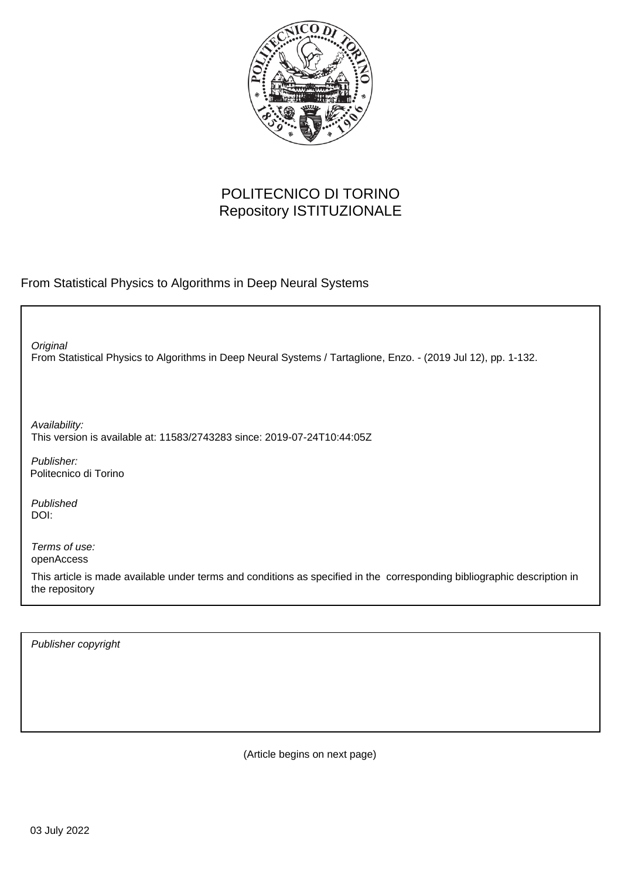

## POLITECNICO DI TORINO Repository ISTITUZIONALE

From Statistical Physics to Algorithms in Deep Neural Systems

From Statistical Physics to Algorithms in Deep Neural Systems / Tartaglione, Enzo. - (2019 Jul 12), pp. 1-132. **Original** Publisher: Published DOI: Terms of use: openAccess This article is made available under terms and conditions as specified in the corresponding bibliographic description in Availability: This version is available at: 11583/2743283 since: 2019-07-24T10:44:05Z Politecnico di Torino

Publisher copyright

the repository

(Article begins on next page)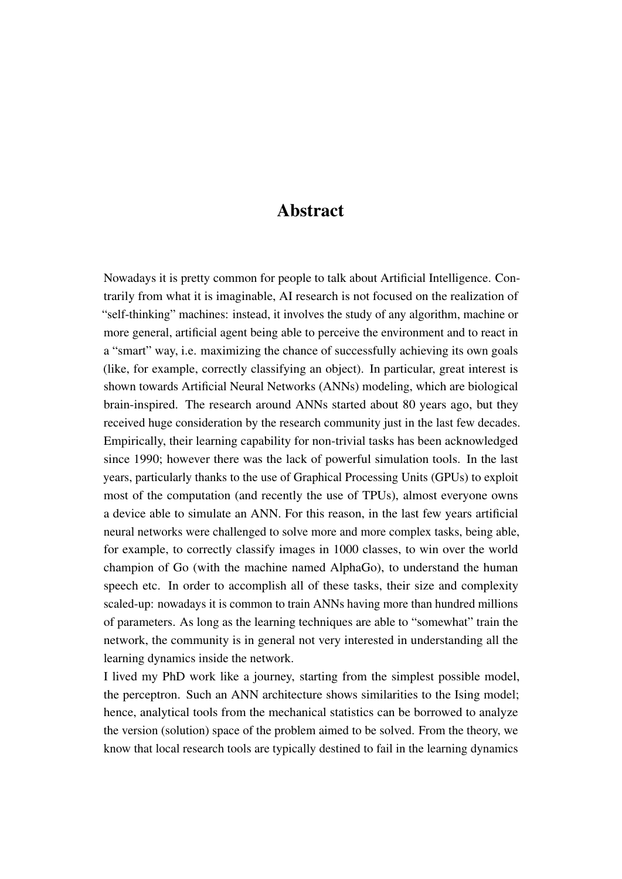## Abstract

Nowadays it is pretty common for people to talk about Artificial Intelligence. Contrarily from what it is imaginable, AI research is not focused on the realization of "self-thinking" machines: instead, it involves the study of any algorithm, machine or more general, artificial agent being able to perceive the environment and to react in a "smart" way, i.e. maximizing the chance of successfully achieving its own goals (like, for example, correctly classifying an object). In particular, great interest is shown towards Artificial Neural Networks (ANNs) modeling, which are biological brain-inspired. The research around ANNs started about 80 years ago, but they received huge consideration by the research community just in the last few decades. Empirically, their learning capability for non-trivial tasks has been acknowledged since 1990; however there was the lack of powerful simulation tools. In the last years, particularly thanks to the use of Graphical Processing Units (GPUs) to exploit most of the computation (and recently the use of TPUs), almost everyone owns a device able to simulate an ANN. For this reason, in the last few years artificial neural networks were challenged to solve more and more complex tasks, being able, for example, to correctly classify images in 1000 classes, to win over the world champion of Go (with the machine named AlphaGo), to understand the human speech etc. In order to accomplish all of these tasks, their size and complexity scaled-up: nowadays it is common to train ANNs having more than hundred millions of parameters. As long as the learning techniques are able to "somewhat" train the network, the community is in general not very interested in understanding all the learning dynamics inside the network.

I lived my PhD work like a journey, starting from the simplest possible model, the perceptron. Such an ANN architecture shows similarities to the Ising model; hence, analytical tools from the mechanical statistics can be borrowed to analyze the version (solution) space of the problem aimed to be solved. From the theory, we know that local research tools are typically destined to fail in the learning dynamics